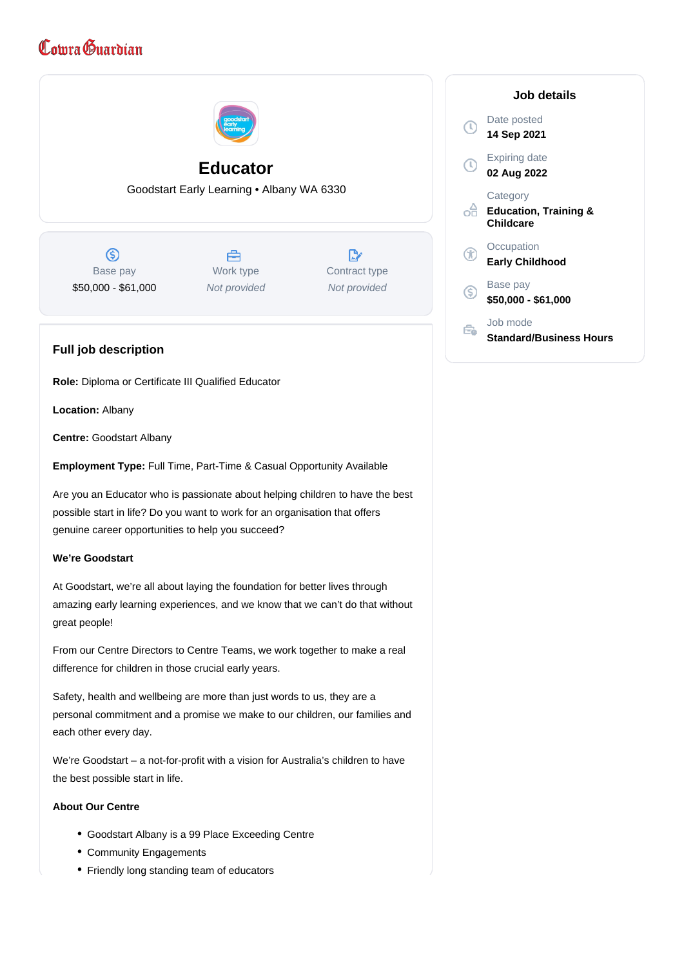# Cowra Guardian



**Centre:** Goodstart Albany

**Employment Type:** Full Time, Part-Time & Casual Opportunity Available

Are you an Educator who is passionate about helping children to have the best possible start in life? Do you want to work for an organisation that offers genuine career opportunities to help you succeed?

## **We're Goodstart**

At Goodstart, we're all about laying the foundation for better lives through amazing early learning experiences, and we know that we can't do that without great people!

From our Centre Directors to Centre Teams, we work together to make a real difference for children in those crucial early years.

Safety, health and wellbeing are more than just words to us, they are a personal commitment and a promise we make to our children, our families and each other every day.

We're Goodstart – a not-for-profit with a vision for Australia's children to have the best possible start in life.

## **About Our Centre**

- Goodstart Albany is a 99 Place Exceeding Centre
- Community Engagements
- Friendly long standing team of educators

|    | Job details                                               |
|----|-----------------------------------------------------------|
| T) | Date posted<br>14 Sep 2021                                |
|    | <b>Expiring date</b><br>02 Aug 2022                       |
|    | Category<br><b>Education, Training &amp;</b><br>Childcare |
|    | Occupation<br>Early Childhood                             |
| .s | Base pay<br>\$50,000 - \$61,000                           |
|    | Job mode<br>Standard/Business Hours                       |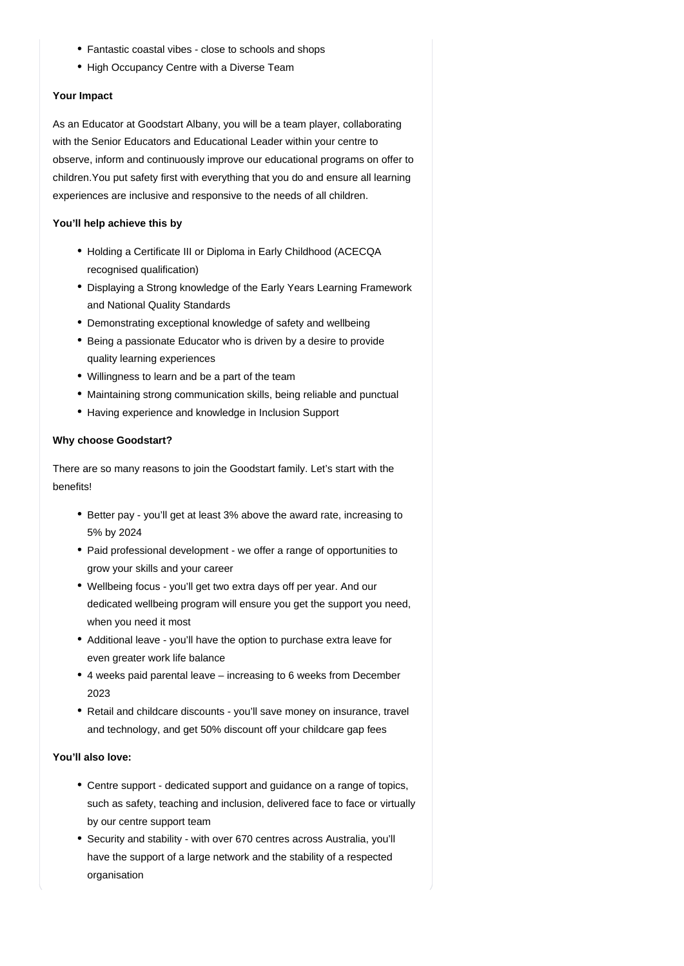- Fantastic coastal vibes close to schools and shops
- High Occupancy Centre with a Diverse Team

## **Your Impact**

As an Educator at Goodstart Albany, you will be a team player, collaborating with the Senior Educators and Educational Leader within your centre to observe, inform and continuously improve our educational programs on offer to children.You put safety first with everything that you do and ensure all learning experiences are inclusive and responsive to the needs of all children.

## **You'll help achieve this by**

- Holding a Certificate III or Diploma in Early Childhood (ACECQA recognised qualification)
- Displaying a Strong knowledge of the Early Years Learning Framework and National Quality Standards
- Demonstrating exceptional knowledge of safety and wellbeing
- Being a passionate Educator who is driven by a desire to provide quality learning experiences
- Willingness to learn and be a part of the team
- Maintaining strong communication skills, being reliable and punctual
- Having experience and knowledge in Inclusion Support

## **Why choose Goodstart?**

There are so many reasons to join the Goodstart family. Let's start with the benefits!

- Better pay you'll get at least 3% above the award rate, increasing to 5% by 2024
- Paid professional development we offer a range of opportunities to grow your skills and your career
- Wellbeing focus you'll get two extra days off per year. And our dedicated wellbeing program will ensure you get the support you need, when you need it most
- Additional leave you'll have the option to purchase extra leave for even greater work life balance
- 4 weeks paid parental leave increasing to 6 weeks from December 2023
- Retail and childcare discounts you'll save money on insurance, travel and technology, and get 50% discount off your childcare gap fees

## **You'll also love:**

- Centre support dedicated support and guidance on a range of topics, such as safety, teaching and inclusion, delivered face to face or virtually by our centre support team
- Security and stability with over 670 centres across Australia, you'll have the support of a large network and the stability of a respected organisation